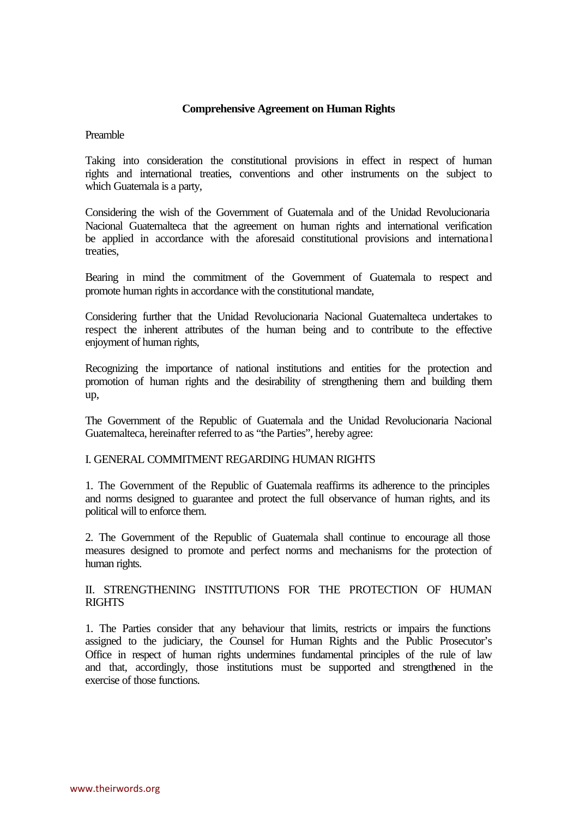## **Comprehensive Agreement on Human Rights**

Preamble

Taking into consideration the constitutional provisions in effect in respect of human rights and international treaties, conventions and other instruments on the subject to which Guatemala is a party,

Considering the wish of the Government of Guatemala and of the Unidad Revolucionaria Nacional Guatemalteca that the agreement on human rights and international verification be applied in accordance with the aforesaid constitutional provisions and international treaties,

Bearing in mind the commitment of the Government of Guatemala to respect and promote human rights in accordance with the constitutional mandate,

Considering further that the Unidad Revolucionaria Nacional Guatemalteca undertakes to respect the inherent attributes of the human being and to contribute to the effective enjoyment of human rights,

Recognizing the importance of national institutions and entities for the protection and promotion of human rights and the desirability of strengthening them and building them up,

The Government of the Republic of Guatemala and the Unidad Revolucionaria Nacional Guatemalteca, hereinafter referred to as "the Parties", hereby agree:

#### I. GENERAL COMMITMENT REGARDING HUMAN RIGHTS

1. The Government of the Republic of Guatemala reaffirms its adherence to the principles and norms designed to guarantee and protect the full observance of human rights, and its political will to enforce them.

2. The Government of the Republic of Guatemala shall continue to encourage all those measures designed to promote and perfect norms and mechanisms for the protection of human rights.

## II. STRENGTHENING INSTITUTIONS FOR THE PROTECTION OF HUMAN RIGHTS

1. The Parties consider that any behaviour that limits, restricts or impairs the functions assigned to the judiciary, the Counsel for Human Rights and the Public Prosecutor's Office in respect of human rights undermines fundamental principles of the rule of law and that, accordingly, those institutions must be supported and strengthened in the exercise of those functions.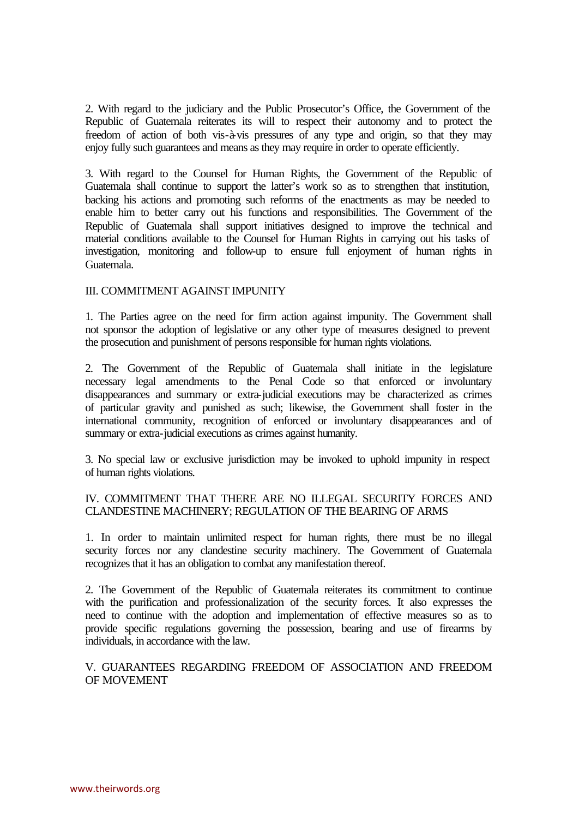2. With regard to the judiciary and the Public Prosecutor's Office, the Government of the Republic of Guatemala reiterates its will to respect their autonomy and to protect the freedom of action of both vis- $\lambda$ -vis pressures of any type and origin, so that they may enjoy fully such guarantees and means as they may require in order to operate efficiently.

3. With regard to the Counsel for Human Rights, the Government of the Republic of Guatemala shall continue to support the latter's work so as to strengthen that institution, backing his actions and promoting such reforms of the enactments as may be needed to enable him to better carry out his functions and responsibilities. The Government of the Republic of Guatemala shall support initiatives designed to improve the technical and material conditions available to the Counsel for Human Rights in carrying out his tasks of investigation, monitoring and follow-up to ensure full enjoyment of human rights in Guatemala.

## III. COMMITMENT AGAINST IMPUNITY

1. The Parties agree on the need for firm action against impunity. The Government shall not sponsor the adoption of legislative or any other type of measures designed to prevent the prosecution and punishment of persons responsible for human rights violations.

2. The Government of the Republic of Guatemala shall initiate in the legislature necessary legal amendments to the Penal Code so that enforced or involuntary disappearances and summary or extra-judicial executions may be characterized as crimes of particular gravity and punished as such; likewise, the Government shall foster in the international community, recognition of enforced or involuntary disappearances and of summary or extra-judicial executions as crimes against humanity.

3. No special law or exclusive jurisdiction may be invoked to uphold impunity in respect of human rights violations.

# IV. COMMITMENT THAT THERE ARE NO ILLEGAL SECURITY FORCES AND CLANDESTINE MACHINERY; REGULATION OF THE BEARING OF ARMS

1. In order to maintain unlimited respect for human rights, there must be no illegal security forces nor any clandestine security machinery. The Government of Guatemala recognizes that it has an obligation to combat any manifestation thereof.

2. The Government of the Republic of Guatemala reiterates its commitment to continue with the purification and professionalization of the security forces. It also expresses the need to continue with the adoption and implementation of effective measures so as to provide specific regulations governing the possession, bearing and use of firearms by individuals, in accordance with the law.

# V. GUARANTEES REGARDING FREEDOM OF ASSOCIATION AND FREEDOM OF MOVEMENT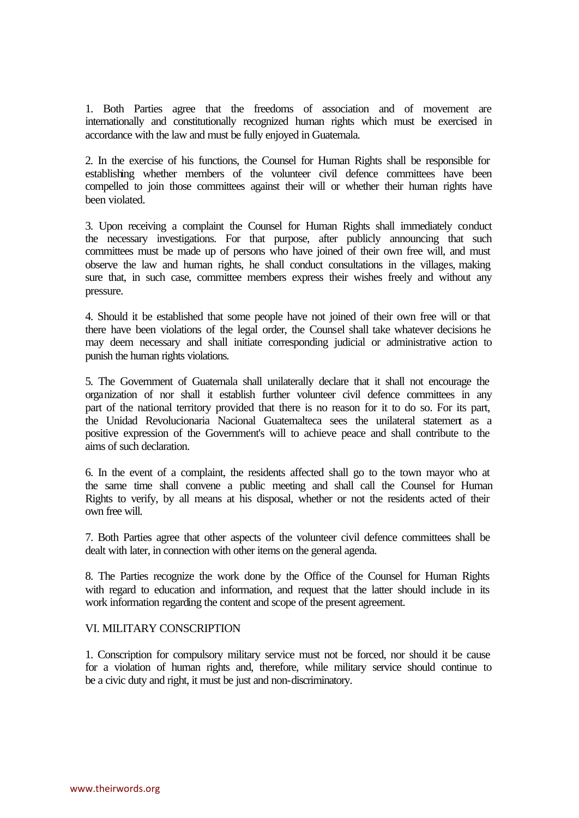1. Both Parties agree that the freedoms of association and of movement are internationally and constitutionally recognized human rights which must be exercised in accordance with the law and must be fully enjoyed in Guatemala.

2. In the exercise of his functions, the Counsel for Human Rights shall be responsible for establishing whether members of the volunteer civil defence committees have been compelled to join those committees against their will or whether their human rights have been violated.

3. Upon receiving a complaint the Counsel for Human Rights shall immediately conduct the necessary investigations. For that purpose, after publicly announcing that such committees must be made up of persons who have joined of their own free will, and must observe the law and human rights, he shall conduct consultations in the villages, making sure that, in such case, committee members express their wishes freely and without any pressure.

4. Should it be established that some people have not joined of their own free will or that there have been violations of the legal order, the Counsel shall take whatever decisions he may deem necessary and shall initiate corresponding judicial or administrative action to punish the human rights violations.

5. The Government of Guatemala shall unilaterally declare that it shall not encourage the organization of nor shall it establish further volunteer civil defence committees in any part of the national territory provided that there is no reason for it to do so. For its part, the Unidad Revolucionaria Nacional Guatemalteca sees the unilateral statement as a positive expression of the Government's will to achieve peace and shall contribute to the aims of such declaration.

6. In the event of a complaint, the residents affected shall go to the town mayor who at the same time shall convene a public meeting and shall call the Counsel for Human Rights to verify, by all means at his disposal, whether or not the residents acted of their own free will.

7. Both Parties agree that other aspects of the volunteer civil defence committees shall be dealt with later, in connection with other items on the general agenda.

8. The Parties recognize the work done by the Office of the Counsel for Human Rights with regard to education and information, and request that the latter should include in its work information regarding the content and scope of the present agreement.

### VI. MILITARY CONSCRIPTION

1. Conscription for compulsory military service must not be forced, nor should it be cause for a violation of human rights and, therefore, while military service should continue to be a civic duty and right, it must be just and non-discriminatory.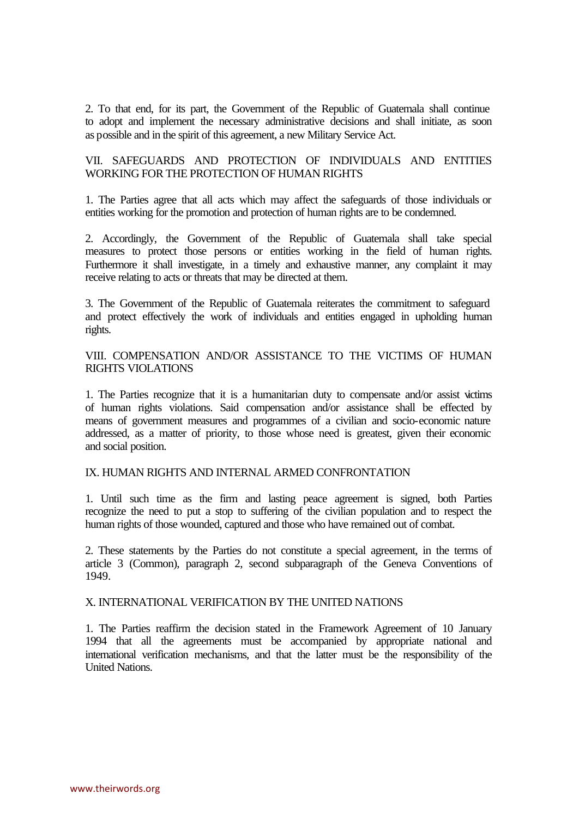2. To that end, for its part, the Government of the Republic of Guatemala shall continue to adopt and implement the necessary administrative decisions and shall initiate, as soon as possible and in the spirit of this agreement, a new Military Service Act.

# VII. SAFEGUARDS AND PROTECTION OF INDIVIDUALS AND ENTITIES WORKING FOR THE PROTECTION OF HUMAN RIGHTS

1. The Parties agree that all acts which may affect the safeguards of those individuals or entities working for the promotion and protection of human rights are to be condemned.

2. Accordingly, the Government of the Republic of Guatemala shall take special measures to protect those persons or entities working in the field of human rights. Furthermore it shall investigate, in a timely and exhaustive manner, any complaint it may receive relating to acts or threats that may be directed at them.

3. The Government of the Republic of Guatemala reiterates the commitment to safeguard and protect effectively the work of individuals and entities engaged in upholding human rights.

# VIII. COMPENSATION AND/OR ASSISTANCE TO THE VICTIMS OF HUMAN RIGHTS VIOLATIONS

1. The Parties recognize that it is a humanitarian duty to compensate and/or assist victims of human rights violations. Said compensation and/or assistance shall be effected by means of government measures and programmes of a civilian and socio-economic nature addressed, as a matter of priority, to those whose need is greatest, given their economic and social position.

## IX. HUMAN RIGHTS AND INTERNAL ARMED CONFRONTATION

1. Until such time as the firm and lasting peace agreement is signed, both Parties recognize the need to put a stop to suffering of the civilian population and to respect the human rights of those wounded, captured and those who have remained out of combat.

2. These statements by the Parties do not constitute a special agreement, in the terms of article 3 (Common), paragraph 2, second subparagraph of the Geneva Conventions of 1949.

# X. INTERNATIONAL VERIFICATION BY THE UNITED NATIONS

1. The Parties reaffirm the decision stated in the Framework Agreement of 10 January 1994 that all the agreements must be accompanied by appropriate national and international verification mechanisms, and that the latter must be the responsibility of the United Nations.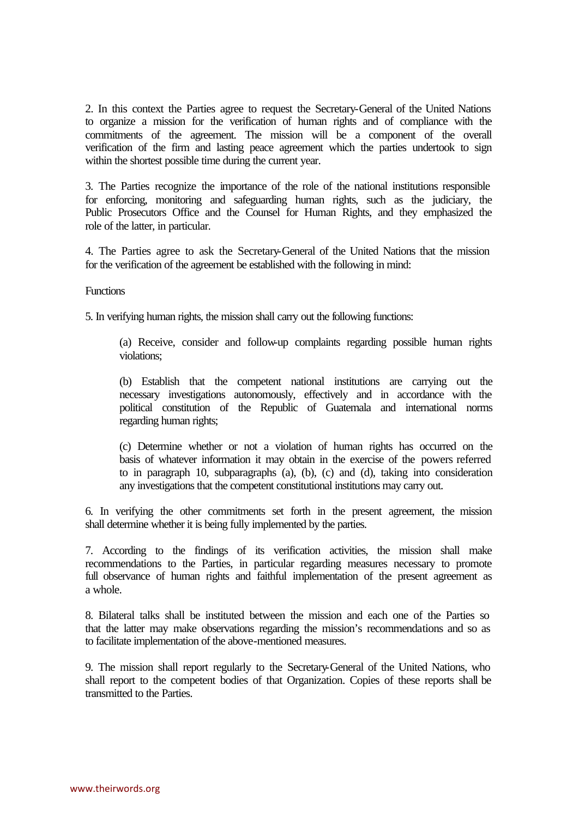2. In this context the Parties agree to request the Secretary-General of the United Nations to organize a mission for the verification of human rights and of compliance with the commitments of the agreement. The mission will be a component of the overall verification of the firm and lasting peace agreement which the parties undertook to sign within the shortest possible time during the current year.

3. The Parties recognize the importance of the role of the national institutions responsible for enforcing, monitoring and safeguarding human rights, such as the judiciary, the Public Prosecutors Office and the Counsel for Human Rights, and they emphasized the role of the latter, in particular.

4. The Parties agree to ask the Secretary-General of the United Nations that the mission for the verification of the agreement be established with the following in mind:

**Functions** 

5. In verifying human rights, the mission shall carry out the following functions:

(a) Receive, consider and follow-up complaints regarding possible human rights violations;

(b) Establish that the competent national institutions are carrying out the necessary investigations autonomously, effectively and in accordance with the political constitution of the Republic of Guatemala and international norms regarding human rights;

(c) Determine whether or not a violation of human rights has occurred on the basis of whatever information it may obtain in the exercise of the powers referred to in paragraph 10, subparagraphs (a), (b), (c) and (d), taking into consideration any investigations that the competent constitutional institutions may carry out.

6. In verifying the other commitments set forth in the present agreement, the mission shall determine whether it is being fully implemented by the parties.

7. According to the findings of its verification activities, the mission shall make recommendations to the Parties, in particular regarding measures necessary to promote full observance of human rights and faithful implementation of the present agreement as a whole.

8. Bilateral talks shall be instituted between the mission and each one of the Parties so that the latter may make observations regarding the mission's recommendations and so as to facilitate implementation of the above-mentioned measures.

9. The mission shall report regularly to the Secretary-General of the United Nations, who shall report to the competent bodies of that Organization. Copies of these reports shall be transmitted to the Parties.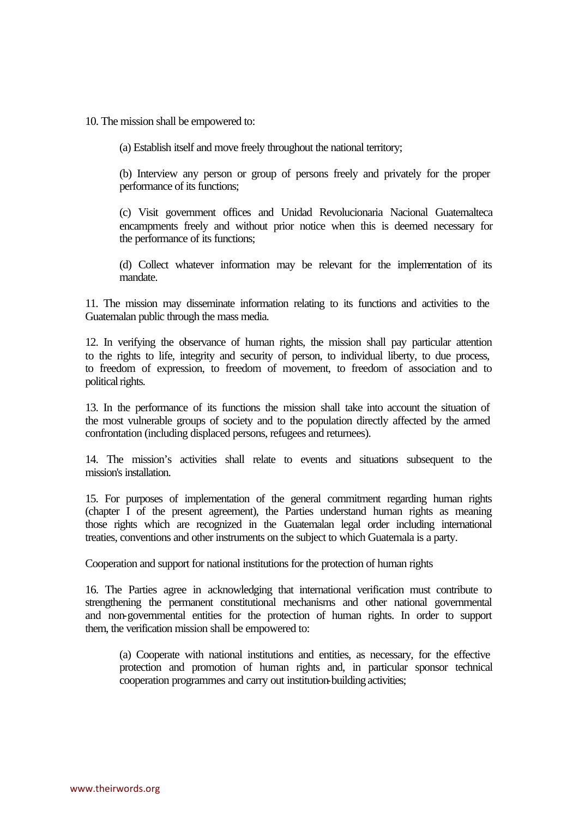10. The mission shall be empowered to:

(a) Establish itself and move freely throughout the national territory;

(b) Interview any person or group of persons freely and privately for the proper performance of its functions;

(c) Visit government offices and Unidad Revolucionaria Nacional Guatemalteca encampments freely and without prior notice when this is deemed necessary for the performance of its functions;

(d) Collect whatever information may be relevant for the implementation of its mandate.

11. The mission may disseminate information relating to its functions and activities to the Guatemalan public through the mass media.

12. In verifying the observance of human rights, the mission shall pay particular attention to the rights to life, integrity and security of person, to individual liberty, to due process, to freedom of expression, to freedom of movement, to freedom of association and to political rights.

13. In the performance of its functions the mission shall take into account the situation of the most vulnerable groups of society and to the population directly affected by the armed confrontation (including displaced persons, refugees and returnees).

14. The mission's activities shall relate to events and situations subsequent to the mission's installation.

15. For purposes of implementation of the general commitment regarding human rights (chapter I of the present agreement), the Parties understand human rights as meaning those rights which are recognized in the Guatemalan legal order including international treaties, conventions and other instruments on the subject to which Guatemala is a party.

Cooperation and support for national institutions for the protection of human rights

16. The Parties agree in acknowledging that international verification must contribute to strengthening the permanent constitutional mechanisms and other national governmental and non-governmental entities for the protection of human rights. In order to support them, the verification mission shall be empowered to:

(a) Cooperate with national institutions and entities, as necessary, for the effective protection and promotion of human rights and, in particular sponsor technical cooperation programmes and carry out institution-building activities;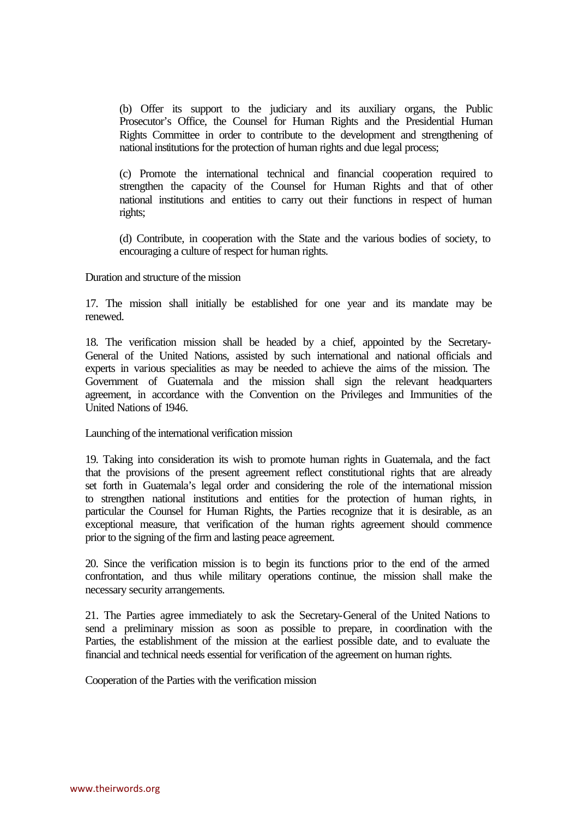(b) Offer its support to the judiciary and its auxiliary organs, the Public Prosecutor's Office, the Counsel for Human Rights and the Presidential Human Rights Committee in order to contribute to the development and strengthening of national institutions for the protection of human rights and due legal process;

(c) Promote the international technical and financial cooperation required to strengthen the capacity of the Counsel for Human Rights and that of other national institutions and entities to carry out their functions in respect of human rights;

(d) Contribute, in cooperation with the State and the various bodies of society, to encouraging a culture of respect for human rights.

Duration and structure of the mission

17. The mission shall initially be established for one year and its mandate may be renewed.

18. The verification mission shall be headed by a chief, appointed by the Secretary-General of the United Nations, assisted by such international and national officials and experts in various specialities as may be needed to achieve the aims of the mission. The Government of Guatemala and the mission shall sign the relevant headquarters agreement, in accordance with the Convention on the Privileges and Immunities of the United Nations of 1946.

Launching of the international verification mission

19. Taking into consideration its wish to promote human rights in Guatemala, and the fact that the provisions of the present agreement reflect constitutional rights that are already set forth in Guatemala's legal order and considering the role of the international mission to strengthen national institutions and entities for the protection of human rights, in particular the Counsel for Human Rights, the Parties recognize that it is desirable, as an exceptional measure, that verification of the human rights agreement should commence prior to the signing of the firm and lasting peace agreement.

20. Since the verification mission is to begin its functions prior to the end of the armed confrontation, and thus while military operations continue, the mission shall make the necessary security arrangements.

21. The Parties agree immediately to ask the Secretary-General of the United Nations to send a preliminary mission as soon as possible to prepare, in coordination with the Parties, the establishment of the mission at the earliest possible date, and to evaluate the financial and technical needs essential for verification of the agreement on human rights.

Cooperation of the Parties with the verification mission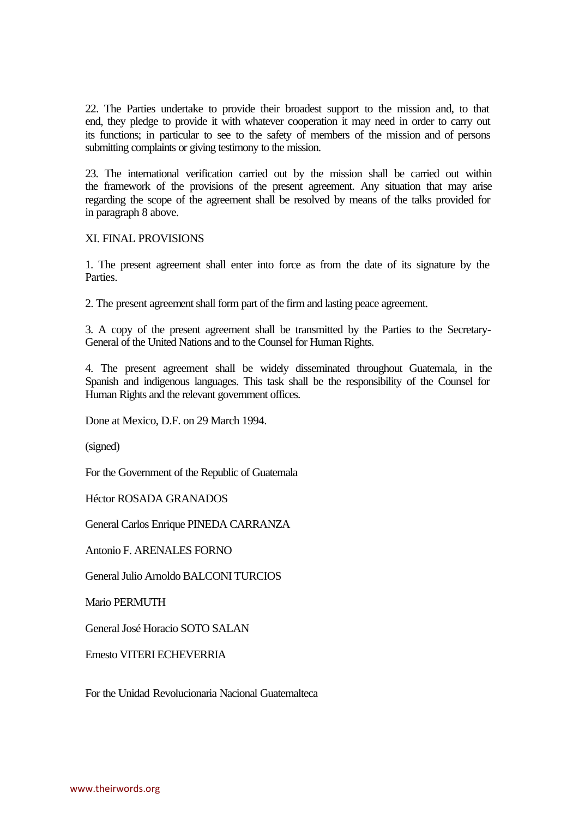22. The Parties undertake to provide their broadest support to the mission and, to that end, they pledge to provide it with whatever cooperation it may need in order to carry out its functions; in particular to see to the safety of members of the mission and of persons submitting complaints or giving testimony to the mission.

23. The international verification carried out by the mission shall be carried out within the framework of the provisions of the present agreement. Any situation that may arise regarding the scope of the agreement shall be resolved by means of the talks provided for in paragraph 8 above.

#### XI. FINAL PROVISIONS

1. The present agreement shall enter into force as from the date of its signature by the Parties.

2. The present agreement shall form part of the firm and lasting peace agreement.

3. A copy of the present agreement shall be transmitted by the Parties to the Secretary-General of the United Nations and to the Counsel for Human Rights.

4. The present agreement shall be widely disseminated throughout Guatemala, in the Spanish and indigenous languages. This task shall be the responsibility of the Counsel for Human Rights and the relevant government offices.

Done at Mexico, D.F. on 29 March 1994.

(signed)

For the Government of the Republic of Guatemala

Héctor ROSADA GRANADOS

General Carlos Enrique PINEDA CARRANZA

Antonio F. ARENALES FORNO

General Julio Arnoldo BALCONI TURCIOS

Mario PERMUTH

General José Horacio SOTO SALAN

Ernesto VITERI ECHEVERRIA

For the Unidad Revolucionaria Nacional Guatemalteca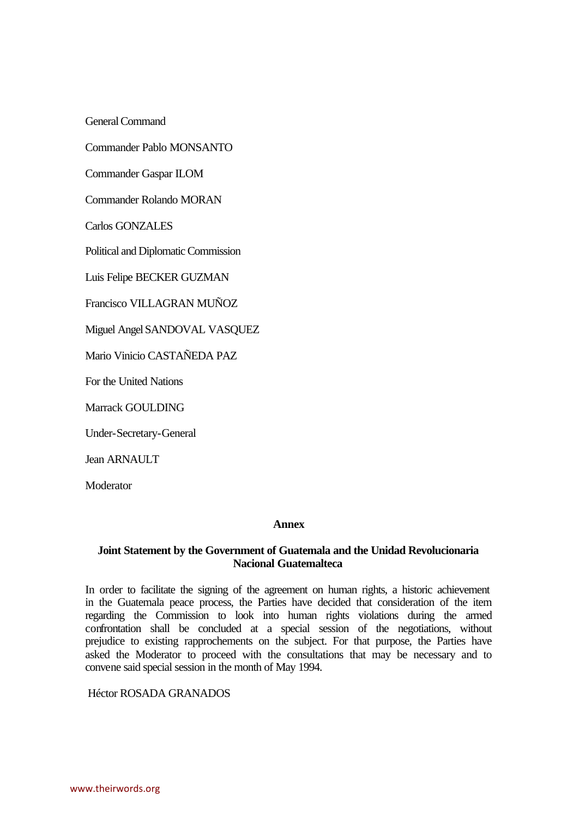General Command

Commander Pablo MONSANTO

Commander Gaspar ILOM

Commander Rolando MORAN

Carlos GONZALES

Political and Diplomatic Commission

Luis Felipe BECKER GUZMAN

Francisco VILLAGRAN MUÑOZ

Miguel Angel SANDOVAL VASQUEZ

Mario Vinicio CASTAÑEDA PAZ

For the United Nations

Marrack GOULDING

Under-Secretary-General

Jean ARNAULT

**Moderator** 

#### **Annex**

# **Joint Statement by the Government of Guatemala and the Unidad Revolucionaria Nacional Guatemalteca**

In order to facilitate the signing of the agreement on human rights, a historic achievement in the Guatemala peace process, the Parties have decided that consideration of the item regarding the Commission to look into human rights violations during the armed confrontation shall be concluded at a special session of the negotiations, without prejudice to existing rapprochements on the subject. For that purpose, the Parties have asked the Moderator to proceed with the consultations that may be necessary and to convene said special session in the month of May 1994.

Héctor ROSADA GRANADOS